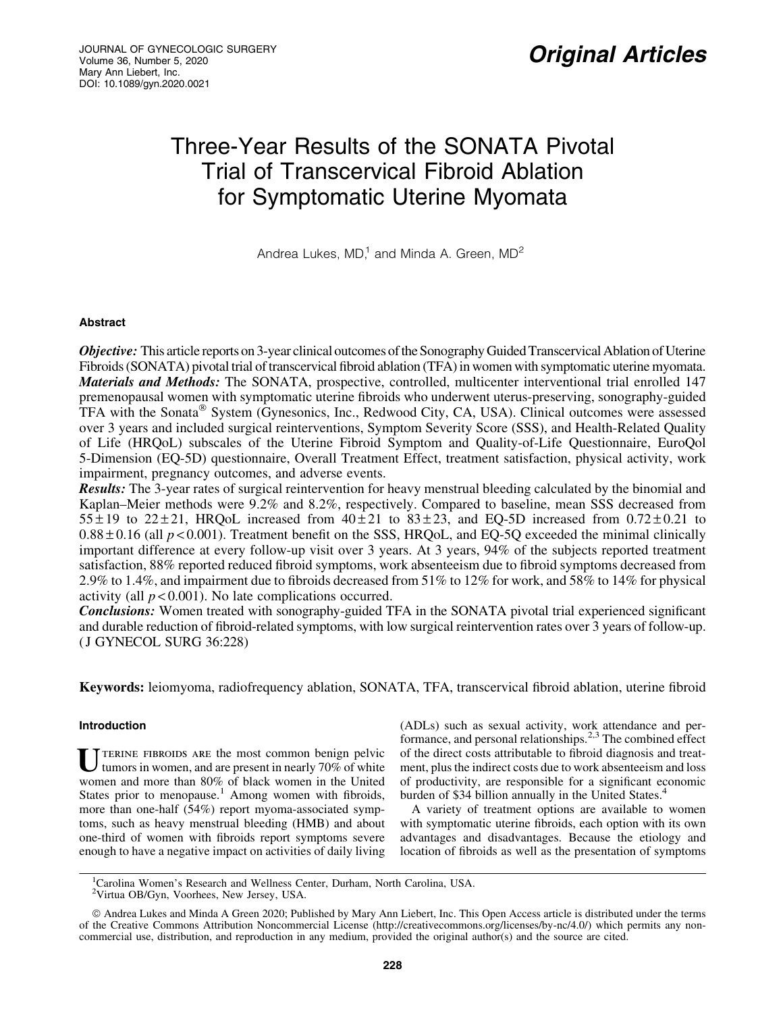# Three-Year Results of the SONATA Pivotal Trial of Transcervical Fibroid Ablation for Symptomatic Uterine Myomata

Andrea Lukes,  $MD<sup>1</sup>$  and Minda A. Green,  $MD<sup>2</sup>$ 

# Abstract

Objective: This article reports on 3-year clinical outcomes of the Sonography Guided Transcervical Ablation of Uterine Fibroids (SONATA) pivotal trial of transcervical fibroid ablation (TFA) in women with symptomatic uterine myomata. *Materials and Methods:* The SONATA, prospective, controlled, multicenter interventional trial enrolled 147 premenopausal women with symptomatic uterine fibroids who underwent uterus-preserving, sonography-guided TFA with the Sonata® System (Gynesonics, Inc., Redwood City, CA, USA). Clinical outcomes were assessed over 3 years and included surgical reinterventions, Symptom Severity Score (SSS), and Health-Related Quality of Life (HRQoL) subscales of the Uterine Fibroid Symptom and Quality-of-Life Questionnaire, EuroQol 5-Dimension (EQ-5D) questionnaire, Overall Treatment Effect, treatment satisfaction, physical activity, work impairment, pregnancy outcomes, and adverse events.

Results: The 3-year rates of surgical reintervention for heavy menstrual bleeding calculated by the binomial and Kaplan–Meier methods were 9.2% and 8.2%, respectively. Compared to baseline, mean SSS decreased from  $55 \pm 19$  to  $22 \pm 21$ , HRQoL increased from  $40 \pm 21$  to  $83 \pm 23$ , and EQ-5D increased from  $0.72 \pm 0.21$  to  $0.88 \pm 0.16$  (all  $p < 0.001$ ). Treatment benefit on the SSS, HRQoL, and EQ-5Q exceeded the minimal clinically important difference at every follow-up visit over 3 years. At 3 years, 94% of the subjects reported treatment satisfaction, 88% reported reduced fibroid symptoms, work absenteeism due to fibroid symptoms decreased from 2.9% to 1.4%, and impairment due to fibroids decreased from 51% to 12% for work, and 58% to 14% for physical activity (all *p* < 0.001). No late complications occurred.

Conclusions: Women treated with sonography-guided TFA in the SONATA pivotal trial experienced significant and durable reduction of fibroid-related symptoms, with low surgical reintervention rates over 3 years of follow-up. ( J GYNECOL SURG 36:228)

Keywords: leiomyoma, radiofrequency ablation, SONATA, TFA, transcervical fibroid ablation, uterine fibroid

# Introduction

U TERINE FIBROIDS ARE the most common benign pelvic<br>tumors in women, and are present in nearly 70% of white women and more than 80% of black women in the United States prior to menopause.<sup>1</sup> Among women with fibroids, more than one-half (54%) report myoma-associated symptoms, such as heavy menstrual bleeding (HMB) and about one-third of women with fibroids report symptoms severe enough to have a negative impact on activities of daily living (ADLs) such as sexual activity, work attendance and performance, and personal relationships.<sup>2,3</sup> The combined effect of the direct costs attributable to fibroid diagnosis and treatment, plus the indirect costs due to work absenteeism and loss of productivity, are responsible for a significant economic burden of \$34 billion annually in the United States.<sup>4</sup>

A variety of treatment options are available to women with symptomatic uterine fibroids, each option with its own advantages and disadvantages. Because the etiology and location of fibroids as well as the presentation of symptoms

<sup>&</sup>lt;sup>1</sup>Carolina Women's Research and Wellness Center, Durham, North Carolina, USA.

<sup>2</sup> Virtua OB/Gyn, Voorhees, New Jersey, USA.

ª Andrea Lukes and Minda A Green 2020; Published by Mary Ann Liebert, Inc. This Open Access article is distributed under the terms of the Creative Commons Attribution Noncommercial License (http://creativecommons.org/licenses/by-nc/4.0/) which permits any noncommercial use, distribution, and reproduction in any medium, provided the original author(s) and the source are cited.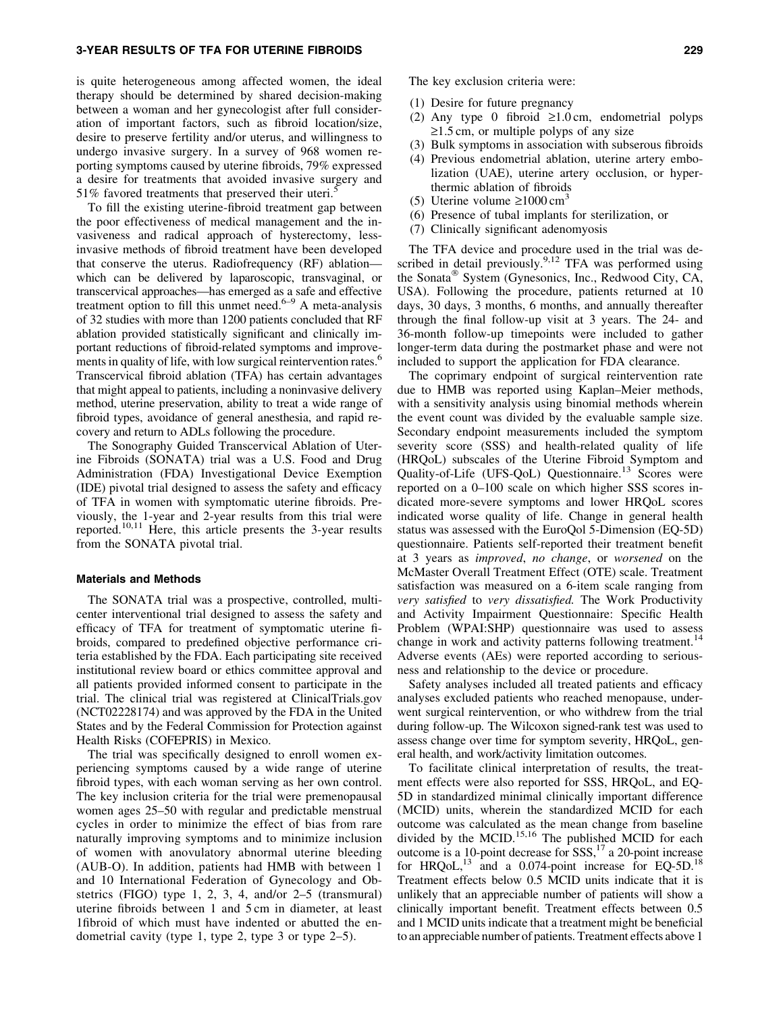## 3-YEAR RESULTS OF TFA FOR UTERINE FIBROIDS 229

is quite heterogeneous among affected women, the ideal therapy should be determined by shared decision-making between a woman and her gynecologist after full consideration of important factors, such as fibroid location/size, desire to preserve fertility and/or uterus, and willingness to undergo invasive surgery. In a survey of 968 women reporting symptoms caused by uterine fibroids, 79% expressed a desire for treatments that avoided invasive surgery and 51% favored treatments that preserved their uteri.<sup>5</sup>

To fill the existing uterine-fibroid treatment gap between the poor effectiveness of medical management and the invasiveness and radical approach of hysterectomy, lessinvasive methods of fibroid treatment have been developed that conserve the uterus. Radiofrequency (RF) ablation which can be delivered by laparoscopic, transvaginal, or transcervical approaches—has emerged as a safe and effective treatment option to fill this unmet need.<sup> $6-9$ </sup> A meta-analysis of 32 studies with more than 1200 patients concluded that RF ablation provided statistically significant and clinically important reductions of fibroid-related symptoms and improvements in quality of life, with low surgical reintervention rates.<sup>6</sup> Transcervical fibroid ablation (TFA) has certain advantages that might appeal to patients, including a noninvasive delivery method, uterine preservation, ability to treat a wide range of fibroid types, avoidance of general anesthesia, and rapid recovery and return to ADLs following the procedure.

The Sonography Guided Transcervical Ablation of Uterine Fibroids (SONATA) trial was a U.S. Food and Drug Administration (FDA) Investigational Device Exemption (IDE) pivotal trial designed to assess the safety and efficacy of TFA in women with symptomatic uterine fibroids. Previously, the 1-year and 2-year results from this trial were reported.<sup>10,11</sup> Here, this article presents the 3-year results from the SONATA pivotal trial.

## Materials and Methods

The SONATA trial was a prospective, controlled, multicenter interventional trial designed to assess the safety and efficacy of TFA for treatment of symptomatic uterine fibroids, compared to predefined objective performance criteria established by the FDA. Each participating site received institutional review board or ethics committee approval and all patients provided informed consent to participate in the trial. The clinical trial was registered at ClinicalTrials.gov (NCT02228174) and was approved by the FDA in the United States and by the Federal Commission for Protection against Health Risks (COFEPRIS) in Mexico.

The trial was specifically designed to enroll women experiencing symptoms caused by a wide range of uterine fibroid types, with each woman serving as her own control. The key inclusion criteria for the trial were premenopausal women ages 25–50 with regular and predictable menstrual cycles in order to minimize the effect of bias from rare naturally improving symptoms and to minimize inclusion of women with anovulatory abnormal uterine bleeding (AUB-O). In addition, patients had HMB with between 1 and 10 International Federation of Gynecology and Obstetrics (FIGO) type 1, 2, 3, 4, and/or 2–5 (transmural) uterine fibroids between 1 and 5 cm in diameter, at least 1fibroid of which must have indented or abutted the endometrial cavity (type 1, type 2, type 3 or type 2–5).

The key exclusion criteria were:

- (1) Desire for future pregnancy
- (2) Any type 0 fibroid  $\geq 1.0$  cm, endometrial polyps  $\geq 1.5$  cm, or multiple polyps of any size
- (3) Bulk symptoms in association with subserous fibroids
- (4) Previous endometrial ablation, uterine artery embolization (UAE), uterine artery occlusion, or hyperthermic ablation of fibroids
- (5) Uterine volume  $\geq 1000$  cm<sup>3</sup>
- (6) Presence of tubal implants for sterilization, or
- (7) Clinically significant adenomyosis

The TFA device and procedure used in the trial was described in detail previously.<sup>9,12</sup> TFA was performed using the Sonata<sup>®</sup> System (Gynesonics, Inc., Redwood City, CA, USA). Following the procedure, patients returned at 10 days, 30 days, 3 months, 6 months, and annually thereafter through the final follow-up visit at 3 years. The 24- and 36-month follow-up timepoints were included to gather longer-term data during the postmarket phase and were not included to support the application for FDA clearance.

The coprimary endpoint of surgical reintervention rate due to HMB was reported using Kaplan–Meier methods, with a sensitivity analysis using binomial methods wherein the event count was divided by the evaluable sample size. Secondary endpoint measurements included the symptom severity score (SSS) and health-related quality of life (HRQoL) subscales of the Uterine Fibroid Symptom and Quality-of-Life (UFS-QoL) Questionnaire.<sup>13</sup> Scores were reported on a 0–100 scale on which higher SSS scores indicated more-severe symptoms and lower HRQoL scores indicated worse quality of life. Change in general health status was assessed with the EuroQol 5-Dimension (EQ-5D) questionnaire. Patients self-reported their treatment benefit at 3 years as *improved*, *no change*, or *worsened* on the McMaster Overall Treatment Effect (OTE) scale. Treatment satisfaction was measured on a 6-item scale ranging from *very satisfied* to *very dissatisfied.* The Work Productivity and Activity Impairment Questionnaire: Specific Health Problem (WPAI:SHP) questionnaire was used to assess change in work and activity patterns following treatment.<sup>14</sup> Adverse events (AEs) were reported according to seriousness and relationship to the device or procedure.

Safety analyses included all treated patients and efficacy analyses excluded patients who reached menopause, underwent surgical reintervention, or who withdrew from the trial during follow-up. The Wilcoxon signed-rank test was used to assess change over time for symptom severity, HRQoL, general health, and work/activity limitation outcomes.

To facilitate clinical interpretation of results, the treatment effects were also reported for SSS, HRQoL, and EQ-5D in standardized minimal clinically important difference (MCID) units, wherein the standardized MCID for each outcome was calculated as the mean change from baseline divided by the MCID.<sup>15,16</sup> The published MCID for each outcome is a 10-point decrease for  $SSS$ ,<sup>17</sup> a 20-point increase for HRQoL, $^{13}$  and a 0.074-point increase for EQ-5D.<sup>18</sup> Treatment effects below 0.5 MCID units indicate that it is unlikely that an appreciable number of patients will show a clinically important benefit. Treatment effects between 0.5 and 1 MCID units indicate that a treatment might be beneficial to an appreciable number of patients. Treatment effects above 1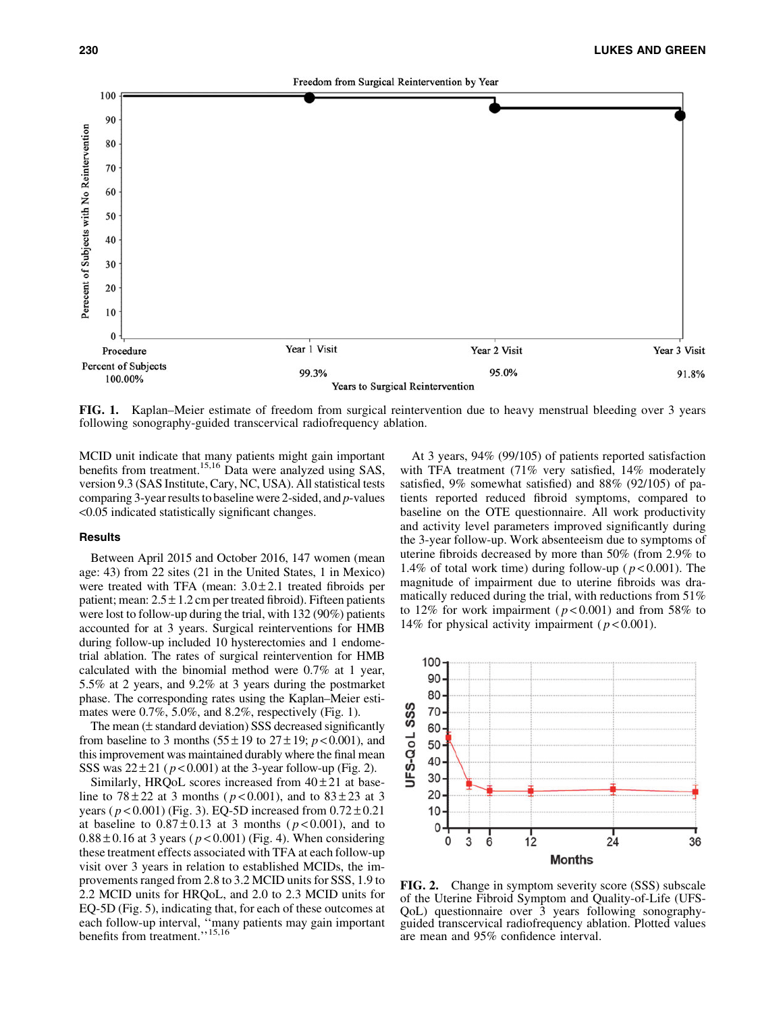Freedom from Surgical Reintervention by Year



FIG. 1. Kaplan–Meier estimate of freedom from surgical reintervention due to heavy menstrual bleeding over 3 years following sonography-guided transcervical radiofrequency ablation.

MCID unit indicate that many patients might gain important benefits from treatment.<sup>15,16</sup> Data were analyzed using SAS, version 9.3 (SAS Institute, Cary, NC, USA). All statistical tests comparing 3-year results to baseline were 2-sided, and *p*-values <0.05 indicated statistically significant changes.

## **Results**

Between April 2015 and October 2016, 147 women (mean age: 43) from 22 sites (21 in the United States, 1 in Mexico) were treated with TFA (mean:  $3.0 \pm 2.1$  treated fibroids per patient; mean:  $2.5 \pm 1.2$  cm per treated fibroid). Fifteen patients were lost to follow-up during the trial, with 132 (90%) patients accounted for at 3 years. Surgical reinterventions for HMB during follow-up included 10 hysterectomies and 1 endometrial ablation. The rates of surgical reintervention for HMB calculated with the binomial method were 0.7% at 1 year, 5.5% at 2 years, and 9.2% at 3 years during the postmarket phase. The corresponding rates using the Kaplan–Meier estimates were 0.7%, 5.0%, and 8.2%, respectively (Fig. 1).

The mean  $(\pm$  standard deviation) SSS decreased significantly from baseline to 3 months  $(55 \pm 19)$  to  $27 \pm 19$ ;  $p < 0.001$ ), and this improvement was maintained durably where the final mean SSS was  $22 \pm 21$  ( $p < 0.001$ ) at the 3-year follow-up (Fig. 2).

Similarly, HRQoL scores increased from  $40 \pm 21$  at baseline to  $78 \pm 22$  at 3 months ( $p < 0.001$ ), and to  $83 \pm 23$  at 3 years ( $p < 0.001$ ) (Fig. 3). EQ-5D increased from  $0.72 \pm 0.21$ at baseline to  $0.87 \pm 0.13$  at 3 months ( $p < 0.001$ ), and to  $0.88 \pm 0.16$  at 3 years ( $p < 0.001$ ) (Fig. 4). When considering these treatment effects associated with TFA at each follow-up visit over 3 years in relation to established MCIDs, the improvements ranged from 2.8 to 3.2 MCID units for SSS, 1.9 to 2.2 MCID units for HRQoL, and 2.0 to 2.3 MCID units for EQ-5D (Fig. 5), indicating that, for each of these outcomes at each follow-up interval, ''many patients may gain important benefits from treatment."<sup>15,16</sup>

At 3 years, 94% (99/105) of patients reported satisfaction with TFA treatment (71% very satisfied, 14% moderately satisfied, 9% somewhat satisfied) and 88% (92/105) of patients reported reduced fibroid symptoms, compared to baseline on the OTE questionnaire. All work productivity and activity level parameters improved significantly during the 3-year follow-up. Work absenteeism due to symptoms of uterine fibroids decreased by more than 50% (from 2.9% to 1.4% of total work time) during follow-up ( $p < 0.001$ ). The magnitude of impairment due to uterine fibroids was dramatically reduced during the trial, with reductions from 51% to 12% for work impairment ( $p < 0.001$ ) and from 58% to 14% for physical activity impairment  $(p < 0.001)$ .



FIG. 2. Change in symptom severity score (SSS) subscale of the Uterine Fibroid Symptom and Quality-of-Life (UFS-QoL) questionnaire over 3 years following sonographyguided transcervical radiofrequency ablation. Plotted values are mean and 95% confidence interval.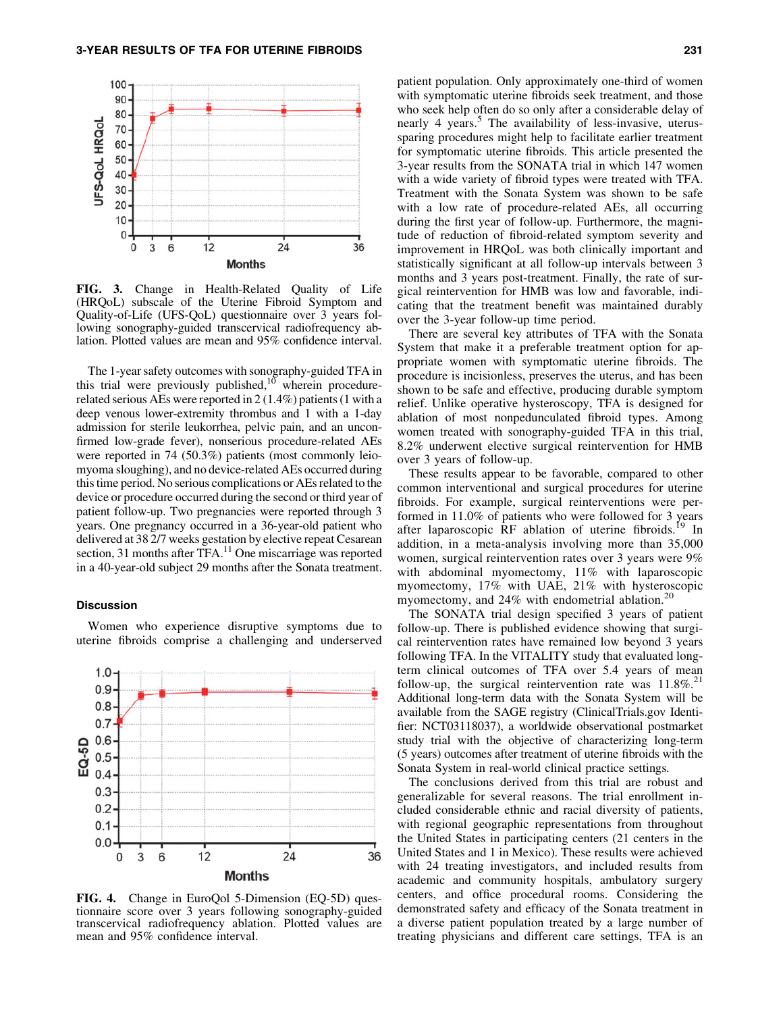

FIG. 3. Change in Health-Related Quality of Life (HRQoL) subscale of the Uterine Fibroid Symptom and Quality-of-Life (UFS-QoL) questionnaire over 3 years following sonography-guided transcervical radiofrequency ablation. Plotted values are mean and 95% confidence interval.

The 1-year safety outcomes with sonography-guided TFA in this trial were previously published,<sup>10</sup> wherein procedurerelated serious AEs were reported in 2 (1.4%) patients (1 with a deep venous lower-extremity thrombus and 1 with a 1-day admission for sterile leukorrhea, pelvic pain, and an unconfirmed low-grade fever), nonserious procedure-related AEs were reported in 74 (50.3%) patients (most commonly leiomyoma sloughing), and no device-related AEs occurred during this time period. No serious complications or AEs related to the device or procedure occurred during the second or third year of patient follow-up. Two pregnancies were reported through 3 years. One pregnancy occurred in a 36-year-old patient who delivered at 38 2/7 weeks gestation by elective repeat Cesarean section, 31 months after TFA.<sup>11</sup> One miscarriage was reported in a 40-year-old subject 29 months after the Sonata treatment.

## **Discussion**



Women who experience disruptive symptoms due to uterine fibroids comprise a challenging and underserved

FIG. 4. Change in EuroQol 5-Dimension (EQ-5D) questionnaire score over 3 years following sonography-guided transcervical radiofrequency ablation. Plotted values are mean and 95% confidence interval.

patient population. Only approximately one-third of women with symptomatic uterine fibroids seek treatment, and those who seek help often do so only after a considerable delay of nearly 4 years.<sup>5</sup> The availability of less-invasive, uterussparing procedures might help to facilitate earlier treatment for symptomatic uterine fibroids. This article presented the 3-year results from the SONATA trial in which 147 women with a wide variety of fibroid types were treated with TFA. Treatment with the Sonata System was shown to be safe with a low rate of procedure-related AEs, all occurring during the first year of follow-up. Furthermore, the magnitude of reduction of fibroid-related symptom severity and improvement in HRQoL was both clinically important and statistically significant at all follow-up intervals between 3 months and 3 years post-treatment. Finally, the rate of surgical reintervention for HMB was low and favorable, indicating that the treatment benefit was maintained durably over the 3-year follow-up time period.

There are several key attributes of TFA with the Sonata System that make it a preferable treatment option for appropriate women with symptomatic uterine fibroids. The procedure is incisionless, preserves the uterus, and has been shown to be safe and effective, producing durable symptom relief. Unlike operative hysteroscopy, TFA is designed for ablation of most nonpedunculated fibroid types. Among women treated with sonography-guided TFA in this trial, 8.2% underwent elective surgical reintervention for HMB over 3 years of follow-up.

These results appear to be favorable, compared to other common interventional and surgical procedures for uterine fibroids. For example, surgical reinterventions were performed in 11.0% of patients who were followed for 3 years after laparoscopic  $RF$  ablation of uterine fibroids.<sup>19</sup> In addition, in a meta-analysis involving more than 35,000 women, surgical reintervention rates over 3 years were 9% with abdominal myomectomy, 11% with laparoscopic myomectomy, 17% with UAE, 21% with hysteroscopic myomectomy, and 24% with endometrial ablation.<sup>20</sup>

The SONATA trial design specified 3 years of patient follow-up. There is published evidence showing that surgical reintervention rates have remained low beyond 3 years following TFA. In the VITALITY study that evaluated longterm clinical outcomes of TFA over 5.4 years of mean follow-up, the surgical reintervention rate was  $11.8\%$ <sup>21</sup> Additional long-term data with the Sonata System will be available from the SAGE registry (ClinicalTrials.gov Identifier: NCT03118037), a worldwide observational postmarket study trial with the objective of characterizing long-term (5 years) outcomes after treatment of uterine fibroids with the Sonata System in real-world clinical practice settings.

The conclusions derived from this trial are robust and generalizable for several reasons. The trial enrollment included considerable ethnic and racial diversity of patients, with regional geographic representations from throughout the United States in participating centers (21 centers in the United States and 1 in Mexico). These results were achieved with 24 treating investigators, and included results from academic and community hospitals, ambulatory surgery centers, and office procedural rooms. Considering the demonstrated safety and efficacy of the Sonata treatment in a diverse patient population treated by a large number of treating physicians and different care settings, TFA is an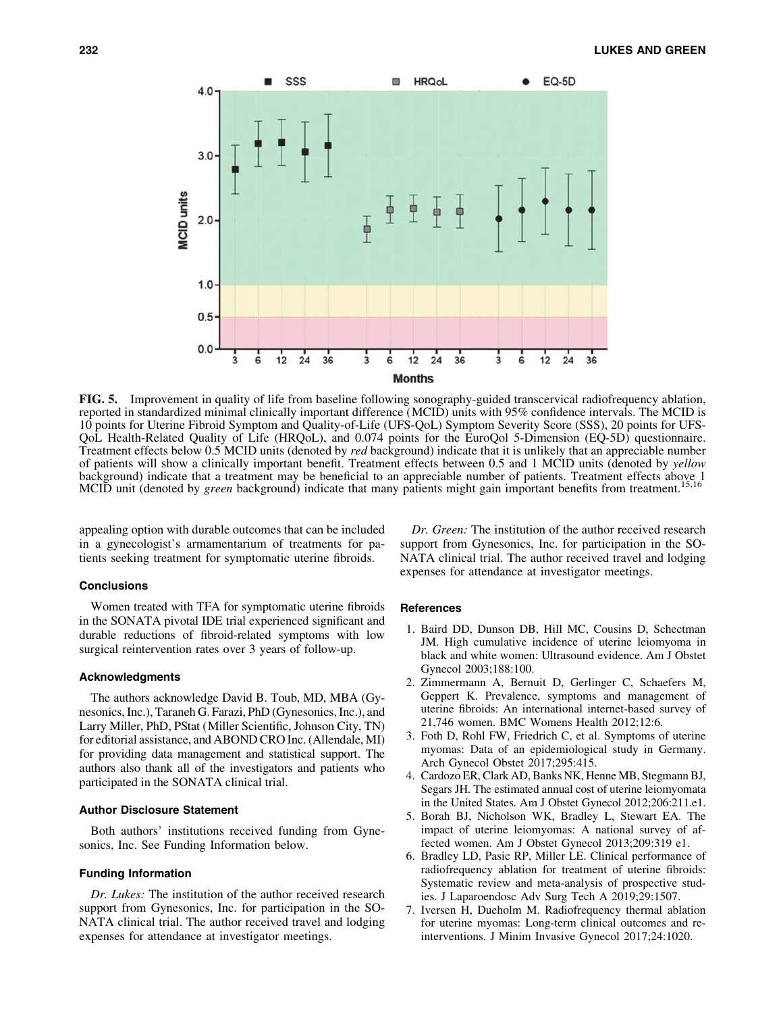

FIG. 5. Improvement in quality of life from baseline following sonography-guided transcervical radiofrequency ablation, reported in standardized minimal clinically important difference (MCID) units with 95% confidence intervals. The MCID is 10 points for Uterine Fibroid Symptom and Quality-of-Life (UFS-QoL) Symptom Severity Score (SSS), 20 points for UFS-QoL Health-Related Quality of Life (HRQoL), and 0.074 points for the EuroQol 5-Dimension (EQ-5D) questionnaire. Treatment effects below 0.5 MCID units (denoted by *red* background) indicate that it is unlikely that an appreciable number of patients will show a clinically important benefit. Treatment effects between 0.5 and 1 MCID units (denoted by *yellow* background) indicate that a treatment may be beneficial to an appreciable number of patients. Treatment effects above 1 MCID unit (denoted by *green* background) indicate that many patients might gain important benefits from treatment.

appealing option with durable outcomes that can be included in a gynecologist's armamentarium of treatments for patients seeking treatment for symptomatic uterine fibroids.

#### **Conclusions**

Women treated with TFA for symptomatic uterine fibroids in the SONATA pivotal IDE trial experienced significant and durable reductions of fibroid-related symptoms with low surgical reintervention rates over 3 years of follow-up.

## Acknowledgments

The authors acknowledge David B. Toub, MD, MBA (Gynesonics, Inc.), Taraneh G. Farazi, PhD (Gynesonics, Inc.), and Larry Miller, PhD, PStat (Miller Scientific, Johnson City, TN) for editorial assistance, and ABOND CRO Inc. (Allendale, MI) for providing data management and statistical support. The authors also thank all of the investigators and patients who participated in the SONATA clinical trial.

## Author Disclosure Statement

Both authors' institutions received funding from Gynesonics, Inc. See Funding Information below.

## Funding Information

*Dr. Lukes:* The institution of the author received research support from Gynesonics, Inc. for participation in the SO-NATA clinical trial. The author received travel and lodging expenses for attendance at investigator meetings.

*Dr. Green:* The institution of the author received research support from Gynesonics, Inc. for participation in the SO-NATA clinical trial. The author received travel and lodging expenses for attendance at investigator meetings.

### **References**

- 1. Baird DD, Dunson DB, Hill MC, Cousins D, Schectman JM. High cumulative incidence of uterine leiomyoma in black and white women: Ultrasound evidence. Am J Obstet Gynecol 2003;188:100.
- 2. Zimmermann A, Bernuit D, Gerlinger C, Schaefers M, Geppert K. Prevalence, symptoms and management of uterine fibroids: An international internet-based survey of 21,746 women. BMC Womens Health 2012;12:6.
- 3. Foth D, Rohl FW, Friedrich C, et al. Symptoms of uterine myomas: Data of an epidemiological study in Germany. Arch Gynecol Obstet 2017;295:415.
- 4. Cardozo ER, Clark AD, Banks NK, Henne MB, Stegmann BJ, Segars JH. The estimated annual cost of uterine leiomyomata in the United States. Am J Obstet Gynecol 2012;206:211.e1.
- 5. Borah BJ, Nicholson WK, Bradley L, Stewart EA. The impact of uterine leiomyomas: A national survey of affected women. Am J Obstet Gynecol 2013;209:319 e1.
- 6. Bradley LD, Pasic RP, Miller LE. Clinical performance of radiofrequency ablation for treatment of uterine fibroids: Systematic review and meta-analysis of prospective studies. J Laparoendosc Adv Surg Tech A 2019;29:1507.
- 7. Iversen H, Dueholm M. Radiofrequency thermal ablation for uterine myomas: Long-term clinical outcomes and reinterventions. J Minim Invasive Gynecol 2017;24:1020.